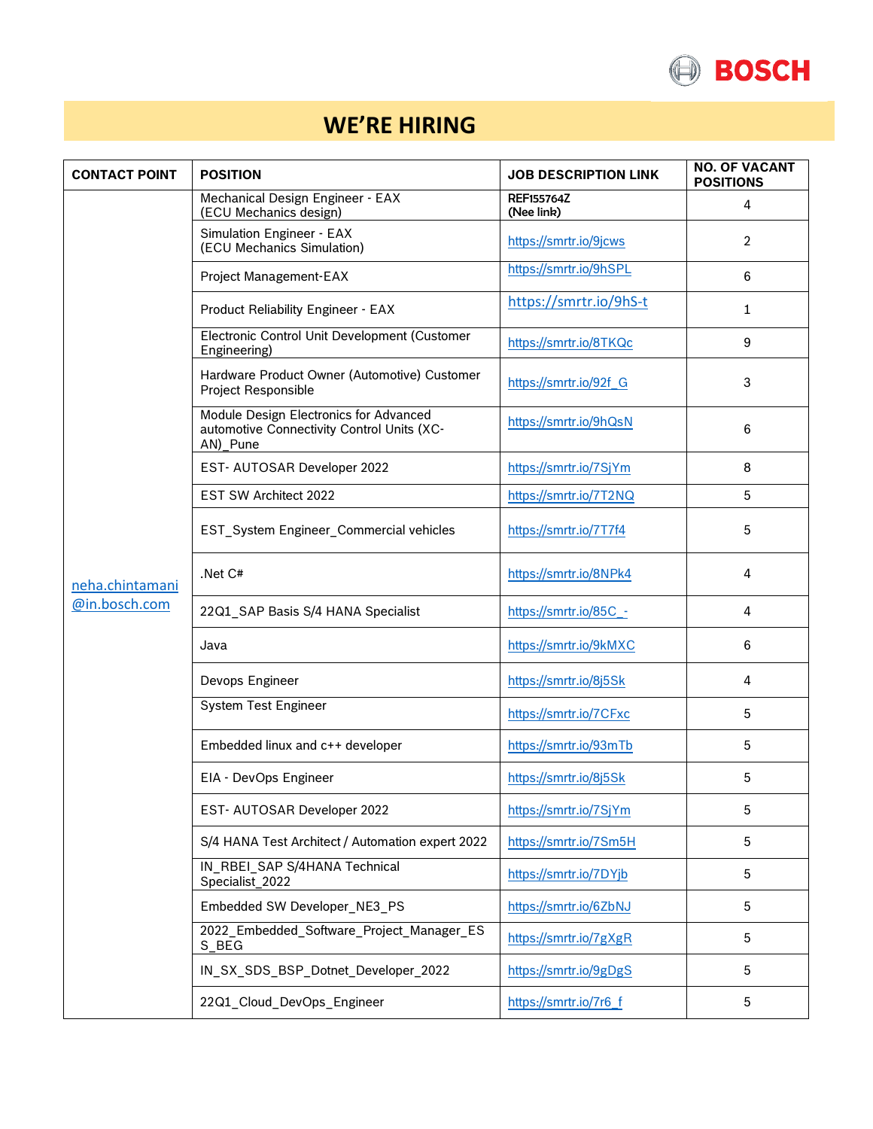

## **WE'RE HIRING**

| <b>CONTACT POINT</b>             | <b>POSITION</b>                                                                                  | <b>JOB DESCRIPTION LINK</b>     | <b>NO. OF VACANT</b><br><b>POSITIONS</b> |
|----------------------------------|--------------------------------------------------------------------------------------------------|---------------------------------|------------------------------------------|
| neha.chintamani<br>@in.bosch.com | Mechanical Design Engineer - EAX<br>(ECU Mechanics design)                                       | <b>REF155764Z</b><br>(Nee link) | 4                                        |
|                                  | Simulation Engineer - EAX<br>(ECU Mechanics Simulation)                                          | https://smrtr.io/9jcws          | $\overline{2}$                           |
|                                  | Project Management-EAX                                                                           | https://smrtr.io/9hSPL          | 6                                        |
|                                  | Product Reliability Engineer - EAX                                                               | https://smrtr.io/9hS-t          | $\mathbf{1}$                             |
|                                  | Electronic Control Unit Development (Customer<br>Engineering)                                    | https://smrtr.io/8TKQc          | 9                                        |
|                                  | Hardware Product Owner (Automotive) Customer<br><b>Project Responsible</b>                       | https://smrtr.io/92f_G          | 3                                        |
|                                  | Module Design Electronics for Advanced<br>automotive Connectivity Control Units (XC-<br>AN)_Pune | https://smrtr.io/9hQsN          | 6                                        |
|                                  | EST- AUTOSAR Developer 2022                                                                      | https://smrtr.io/7SjYm          | 8                                        |
|                                  | EST SW Architect 2022                                                                            | https://smrtr.io/7T2NQ          | 5                                        |
|                                  | EST_System Engineer_Commercial vehicles                                                          | https://smrtr.io/7T7f4          | 5                                        |
|                                  | Net C#                                                                                           | https://smrtr.io/8NPk4          | 4                                        |
|                                  | 22Q1_SAP Basis S/4 HANA Specialist                                                               | https://smrtr.io/85C -          | 4                                        |
|                                  | Java                                                                                             | https://smrtr.io/9kMXC          | 6                                        |
|                                  | Devops Engineer                                                                                  | https://smrtr.io/8j5Sk          | 4                                        |
|                                  | System Test Engineer                                                                             | https://smrtr.io/7CFxc          | 5                                        |
|                                  | Embedded linux and c++ developer                                                                 | https://smrtr.io/93mTb          | 5                                        |
|                                  | EIA - DevOps Engineer                                                                            | https://smrtr.io/8j5Sk          | 5                                        |
|                                  | EST- AUTOSAR Developer 2022                                                                      | https://smrtr.io/7SjYm          | 5                                        |
|                                  | S/4 HANA Test Architect / Automation expert 2022                                                 | https://smrtr.io/7Sm5H          | $\sqrt{5}$                               |
|                                  | IN_RBEI_SAP S/4HANA Technical<br>Specialist_2022                                                 | https://smrtr.io/7DYjb          | $\sqrt{5}$                               |
|                                  | Embedded SW Developer_NE3_PS                                                                     | https://smrtr.io/6ZbNJ          | $\sqrt{5}$                               |
|                                  | 2022_Embedded_Software_Project_Manager_ES<br>S_BEG                                               | https://smrtr.io/7gXgR          | 5                                        |
|                                  | IN_SX_SDS_BSP_Dotnet_Developer_2022                                                              | https://smrtr.io/9gDgS          | 5                                        |
|                                  | 22Q1_Cloud_DevOps_Engineer                                                                       | https://smrtr.io/7r6 f          | $\sqrt{5}$                               |